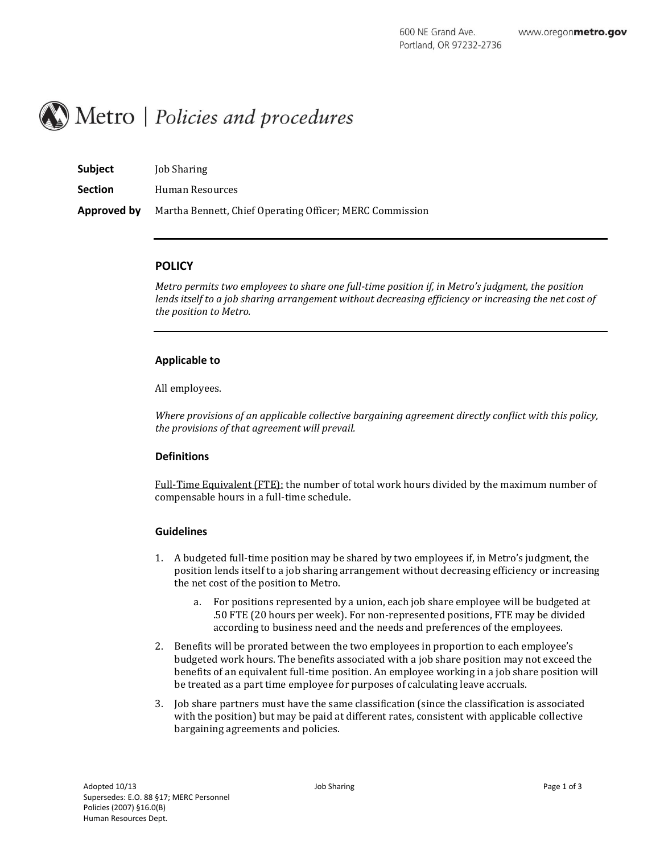# Metro | Policies and procedures

| <b>Subject</b> | <b>Job Sharing</b>                                       |
|----------------|----------------------------------------------------------|
| <b>Section</b> | Human Resources                                          |
| Approved by    | Martha Bennett, Chief Operating Officer; MERC Commission |

## **POLICY**

*Metro permits two employees to share one full-time position if, in Metro's judgment, the position lends itself to a job sharing arrangement without decreasing efficiency or increasing the net cost of the position to Metro.*

## **Applicable to**

All employees.

*Where provisions of an applicable collective bargaining agreement directly conflict with this policy, the provisions of that agreement will prevail.*

# **Definitions**

Full-Time Equivalent (FTE): the number of total work hours divided by the maximum number of compensable hours in a full-time schedule.

## **Guidelines**

- 1. A budgeted full-time position may be shared by two employees if, in Metro's judgment, the position lends itself to a job sharing arrangement without decreasing efficiency or increasing the net cost of the position to Metro.
	- a. For positions represented by a union, each job share employee will be budgeted at .50 FTE (20 hours per week). For non-represented positions, FTE may be divided according to business need and the needs and preferences of the employees.
- 2. Benefits will be prorated between the two employees in proportion to each employee's budgeted work hours. The benefits associated with a job share position may not exceed the benefits of an equivalent full-time position. An employee working in a job share position will be treated as a part time employee for purposes of calculating leave accruals.
- 3. Job share partners must have the same classification (since the classification is associated with the position) but may be paid at different rates, consistent with applicable collective bargaining agreements and policies.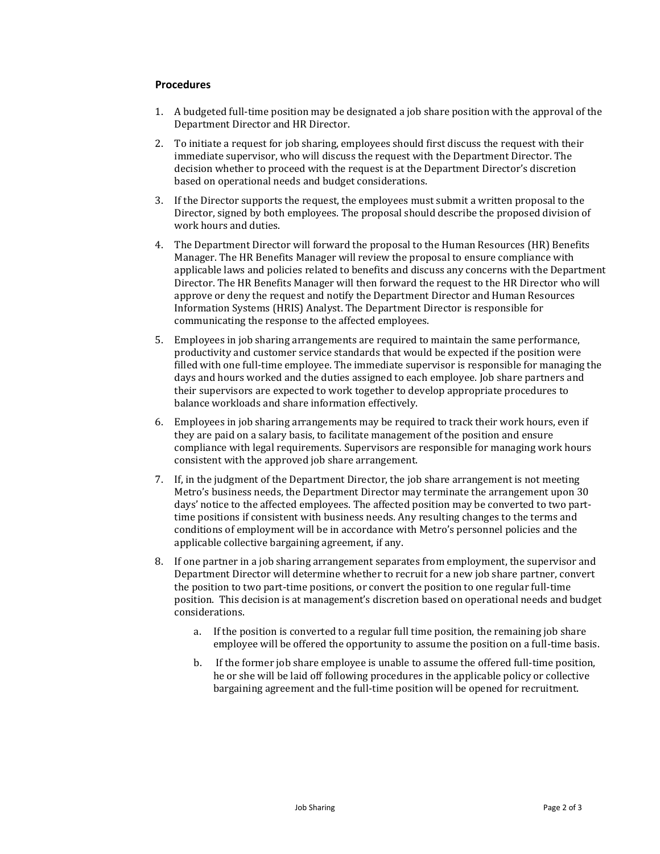### **Procedures**

- 1. A budgeted full-time position may be designated a job share position with the approval of the Department Director and HR Director.
- 2. To initiate a request for job sharing, employees should first discuss the request with their immediate supervisor, who will discuss the request with the Department Director. The decision whether to proceed with the request is at the Department Director's discretion based on operational needs and budget considerations.
- 3. If the Director supports the request, the employees must submit a written proposal to the Director, signed by both employees. The proposal should describe the proposed division of work hours and duties.
- 4. The Department Director will forward the proposal to the Human Resources (HR) Benefits Manager. The HR Benefits Manager will review the proposal to ensure compliance with applicable laws and policies related to benefits and discuss any concerns with the Department Director. The HR Benefits Manager will then forward the request to the HR Director who will approve or deny the request and notify the Department Director and Human Resources Information Systems (HRIS) Analyst. The Department Director is responsible for communicating the response to the affected employees.
- 5. Employees in job sharing arrangements are required to maintain the same performance, productivity and customer service standards that would be expected if the position were filled with one full-time employee. The immediate supervisor is responsible for managing the days and hours worked and the duties assigned to each employee. Job share partners and their supervisors are expected to work together to develop appropriate procedures to balance workloads and share information effectively.
- 6. Employees in job sharing arrangements may be required to track their work hours, even if they are paid on a salary basis, to facilitate management of the position and ensure compliance with legal requirements. Supervisors are responsible for managing work hours consistent with the approved job share arrangement.
- 7. If, in the judgment of the Department Director, the job share arrangement is not meeting Metro's business needs, the Department Director may terminate the arrangement upon 30 days' notice to the affected employees. The affected position may be converted to two parttime positions if consistent with business needs. Any resulting changes to the terms and conditions of employment will be in accordance with Metro's personnel policies and the applicable collective bargaining agreement, if any.
- 8. If one partner in a job sharing arrangement separates from employment, the supervisor and Department Director will determine whether to recruit for a new job share partner, convert the position to two part-time positions, or convert the position to one regular full-time position. This decision is at management's discretion based on operational needs and budget considerations.
	- a. If the position is converted to a regular full time position, the remaining job share employee will be offered the opportunity to assume the position on a full-time basis.
	- b. If the former job share employee is unable to assume the offered full-time position, he or she will be laid off following procedures in the applicable policy or collective bargaining agreement and the full-time position will be opened for recruitment.